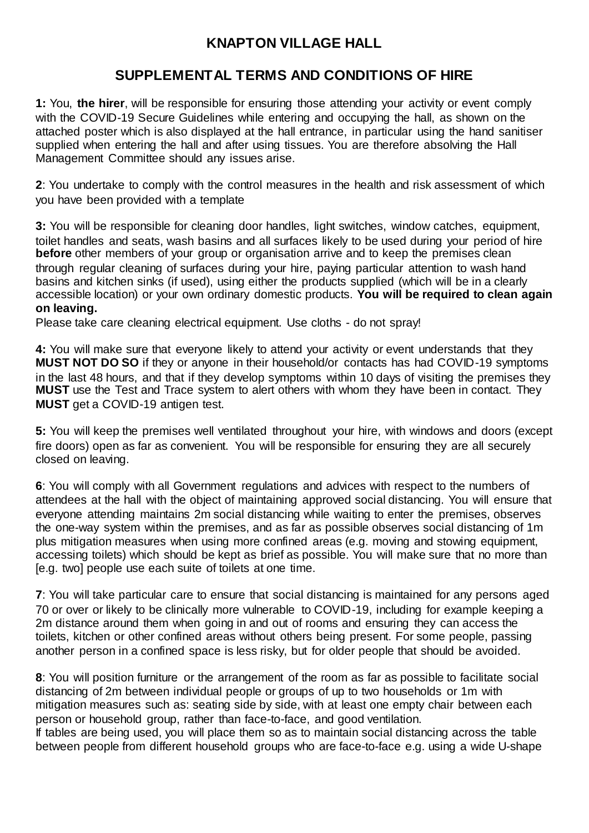## **KNAPTON VILLAGE HALL**

## **SUPPLEMENTAL TERMS AND CONDITIONS OF HIRE**

**1:** You, **the hirer**, will be responsible for ensuring those attending your activity or event comply with the COVID-19 Secure Guidelines while entering and occupying the hall, as shown on the attached poster which is also displayed at the hall entrance, in particular using the hand sanitiser supplied when entering the hall and after using tissues. You are therefore absolving the Hall Management Committee should any issues arise.

**2**: You undertake to comply with the control measures in the health and risk assessment of which you have been provided with a template

**3:** You will be responsible for cleaning door handles, light switches, window catches, equipment, toilet handles and seats, wash basins and all surfaces likely to be used during your period of hire **before** other members of your group or organisation arrive and to keep the premises clean through regular cleaning of surfaces during your hire, paying particular attention to wash hand basins and kitchen sinks (if used), using either the products supplied (which will be in a clearly accessible location) or your own ordinary domestic products. **You will be required to clean again on leaving.**

Please take care cleaning electrical equipment. Use cloths - do not spray!

**4:** You will make sure that everyone likely to attend your activity or event understands that they **MUST NOT DO SO** if they or anyone in their household/or contacts has had COVID-19 symptoms in the last 48 hours, and that if they develop symptoms within 10 days of visiting the premises they **MUST** use the Test and Trace system to alert others with whom they have been in contact. They **MUST** get a COVID-19 antigen test.

**5:** You will keep the premises well ventilated throughout your hire, with windows and doors (except fire doors) open as far as convenient. You will be responsible for ensuring they are all securely closed on leaving.

**6**: You will comply with all Government regulations and advices with respect to the numbers of attendees at the hall with the object of maintaining approved social distancing. You will ensure that everyone attending maintains 2m social distancing while waiting to enter the premises, observes the one-way system within the premises, and as far as possible observes social distancing of 1m plus mitigation measures when using more confined areas (e.g. moving and stowing equipment, accessing toilets) which should be kept as brief as possible. You will make sure that no more than [e.g. two] people use each suite of toilets at one time.

**7**: You will take particular care to ensure that social distancing is maintained for any persons aged 70 or over or likely to be clinically more vulnerable to COVID-19, including for example keeping a 2m distance around them when going in and out of rooms and ensuring they can access the toilets, kitchen or other confined areas without others being present. For some people, passing another person in a confined space is less risky, but for older people that should be avoided.

**8**: You will position furniture or the arrangement of the room as far as possible to facilitate social distancing of 2m between individual people or groups of up to two households or 1m with mitigation measures such as: seating side by side, with at least one empty chair between each person or household group, rather than face-to-face, and good ventilation.

If tables are being used, you will place them so as to maintain social distancing across the table between people from different household groups who are face-to-face e.g. using a wide U-shape